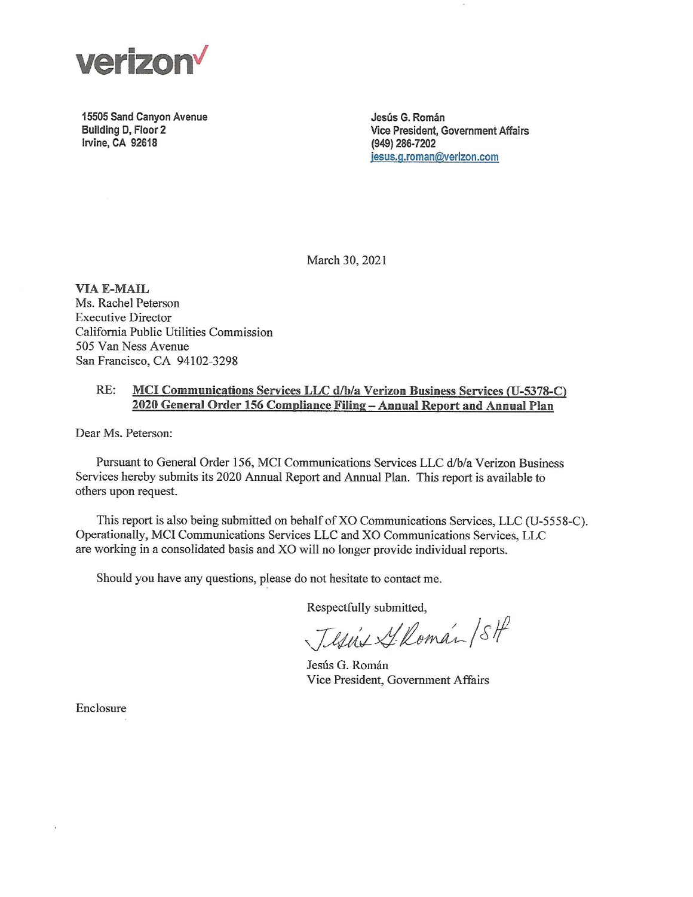

15505 Sand Canyon Avenue Building D, Floor 2 Irvine, CA 92618

Jesús G. Román Vice President, Government Affairs (949) 286-7202 jesus.g.roman@verizon.com

March 30, 2021

**VIA E-MAIL** Ms. Rachel Peterson **Executive Director** California Public Utilities Commission 505 Van Ness Avenue San Francisco, CA 94102-3298

### RE: MCI Communications Services LLC d/b/a Verizon Business Services (U-5378-C) 2020 General Order 156 Compliance Filing - Annual Report and Annual Plan

Dear Ms. Peterson:

Pursuant to General Order 156, MCI Communications Services LLC d/b/a Verizon Business Services hereby submits its 2020 Annual Report and Annual Plan. This report is available to others upon request.

This report is also being submitted on behalf of XO Communications Services, LLC (U-5558-C). Operationally, MCI Communications Services LLC and XO Communications Services, LLC are working in a consolidated basis and XO will no longer provide individual reports.

Should you have any questions, please do not hesitate to contact me.

Respectfully submitted,

Jesús S. Román / SH

Jesús G. Román Vice President, Government Affairs

Enclosure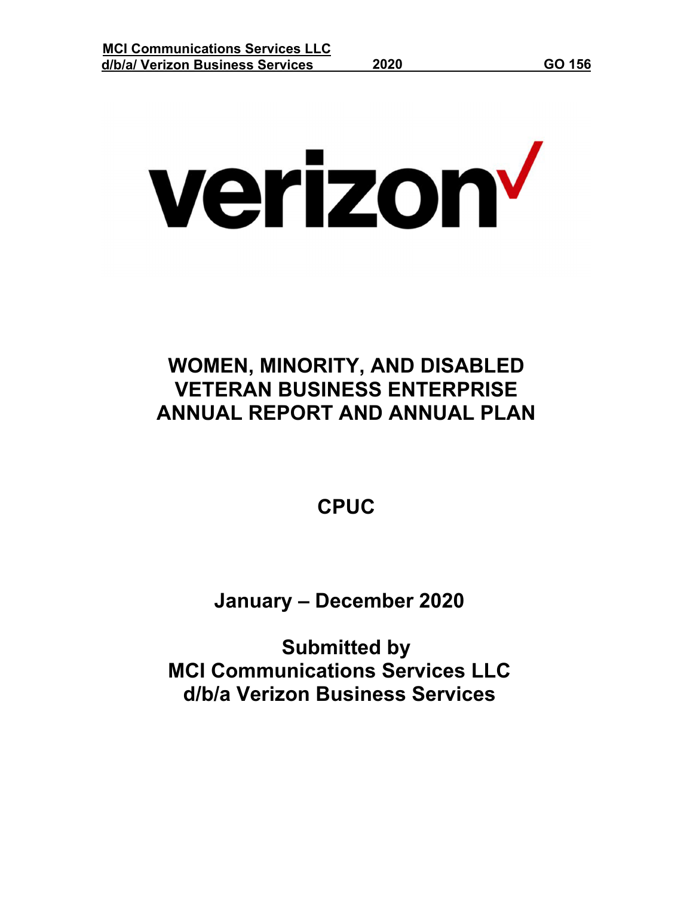verizon<sup>v</sup>

# **WOMEN, MINORITY, AND DISABLED VETERAN BUSINESS ENTERPRISE ANNUAL REPORT AND ANNUAL PLAN**

**CPUC**

**January – December 2020**

**Submitted by MCI Communications Services LLC d/b/a Verizon Business Services**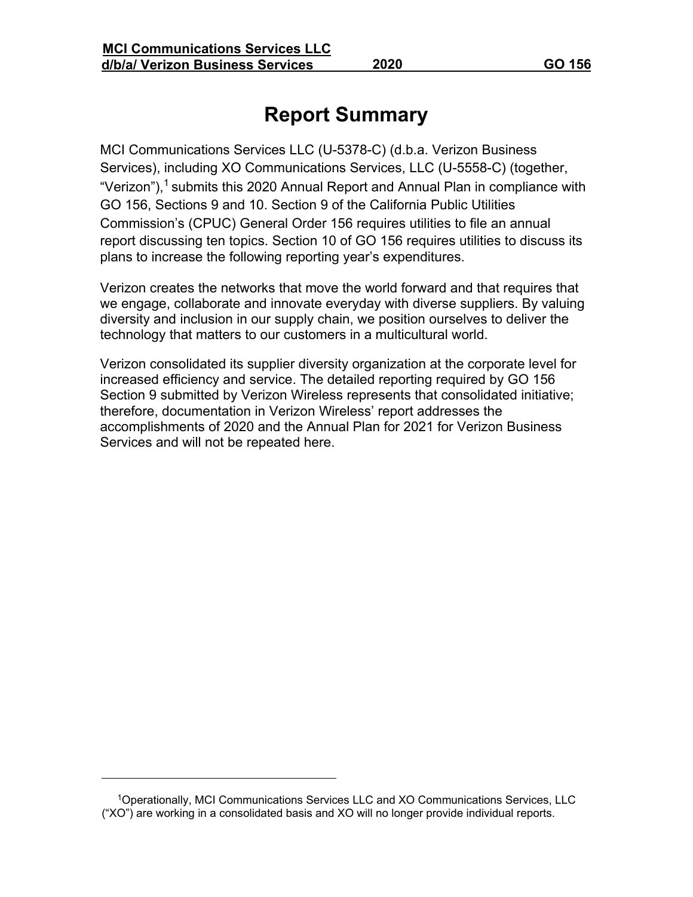## **Report Summary**

MCI Communications Services LLC (U-5378-C) (d.b.a. Verizon Business Services), including XO Communications Services, LLC (U-5558-C) (together, "Verizon"),<sup>1</sup> submits this 2020 Annual Report and Annual Plan in compliance with GO 156, Sections 9 and 10. Section 9 of the California Public Utilities Commission's (CPUC) General Order 156 requires utilities to file an annual report discussing ten topics. Section 10 of GO 156 requires utilities to discuss its plans to increase the following reporting year's expenditures.

Verizon creates the networks that move the world forward and that requires that we engage, collaborate and innovate everyday with diverse suppliers. By valuing diversity and inclusion in our supply chain, we position ourselves to deliver the technology that matters to our customers in a multicultural world.

Verizon consolidated its supplier diversity organization at the corporate level for increased efficiency and service. The detailed reporting required by GO 156 Section 9 submitted by Verizon Wireless represents that consolidated initiative; therefore, documentation in Verizon Wireless' report addresses the accomplishments of 2020 and the Annual Plan for 2021 for Verizon Business Services and will not be repeated here.

<sup>1</sup>Operationally, MCI Communications Services LLC and XO Communications Services, LLC ("XO") are working in a consolidated basis and XO will no longer provide individual reports.